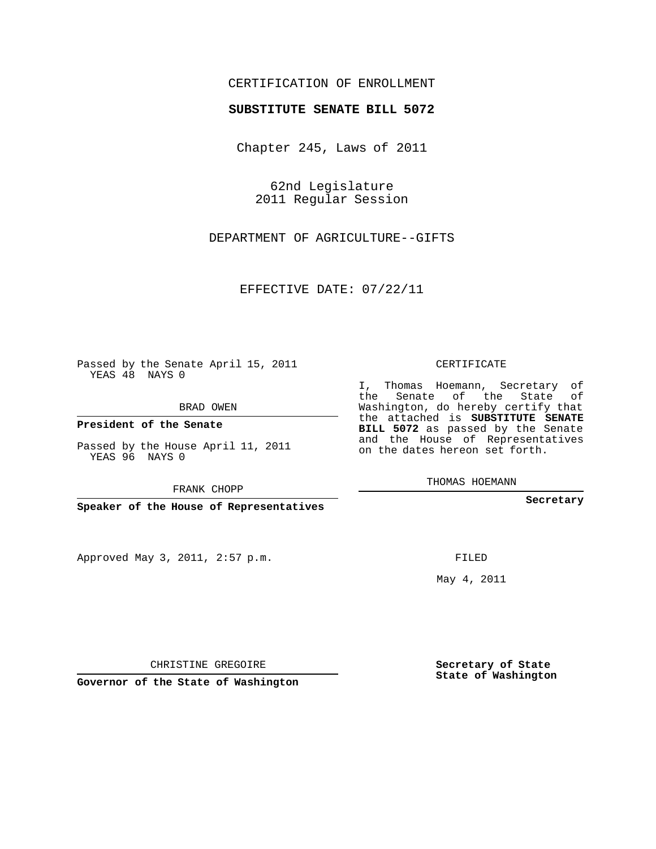## CERTIFICATION OF ENROLLMENT

## **SUBSTITUTE SENATE BILL 5072**

Chapter 245, Laws of 2011

62nd Legislature 2011 Regular Session

DEPARTMENT OF AGRICULTURE--GIFTS

EFFECTIVE DATE: 07/22/11

Passed by the Senate April 15, 2011 YEAS 48 NAYS 0

BRAD OWEN

**President of the Senate**

Passed by the House April 11, 2011 YEAS 96 NAYS 0

FRANK CHOPP

**Speaker of the House of Representatives**

Approved May 3, 2011, 2:57 p.m.

CERTIFICATE

I, Thomas Hoemann, Secretary of the Senate of the State of Washington, do hereby certify that the attached is **SUBSTITUTE SENATE BILL 5072** as passed by the Senate and the House of Representatives on the dates hereon set forth.

THOMAS HOEMANN

**Secretary**

FILED

May 4, 2011

**Secretary of State State of Washington**

CHRISTINE GREGOIRE

**Governor of the State of Washington**